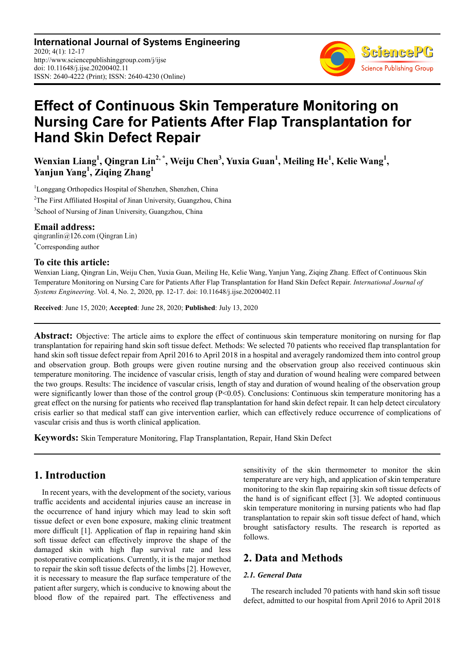**International Journal of Systems Engineering** 2020; 4(1): 12-17 http://www.sciencepublishinggroup.com/j/ijse doi: 10.11648/j.ijse.20200402.11 ISSN: 2640-4222 (Print); ISSN: 2640-4230 (Online)



# **Effect of Continuous Skin Temperature Monitoring on Nursing Care for Patients After Flap Transplantation for Hand Skin Defect Repair**

**Wenxian Liang<sup>1</sup> , Qingran Lin2, \*, Weiju Chen<sup>3</sup> , Yuxia Guan<sup>1</sup> , Meiling He<sup>1</sup> , Kelie Wang<sup>1</sup> , Yanjun Yang<sup>1</sup> , Ziqing Zhang<sup>1</sup>**

<sup>1</sup>Longgang Orthopedics Hospital of Shenzhen, Shenzhen, China <sup>2</sup>The First Affiliated Hospital of Jinan University, Guangzhou, China 3 School of Nursing of Jinan University, Guangzhou, China

**Email address:**<br>qingranlin@126.com (Qingran Lin) \*Corresponding author

## **To cite this article:**

Wenxian Liang, Qingran Lin, Weiju Chen, Yuxia Guan, Meiling He, Kelie Wang, Yanjun Yang, Ziqing Zhang. Effect of Continuous Skin Temperature Monitoring on Nursing Care for Patients After Flap Transplantation for Hand Skin Defect Repair. *International Journal of Systems Engineering*. Vol. 4, No. 2, 2020, pp. 12-17. doi: 10.11648/j.ijse.20200402.11

**Received**: June 15, 2020; **Accepted**: June 28, 2020; **Published**: July 13, 2020

**Abstract:** Objective: The article aims to explore the effect of continuous skin temperature monitoring on nursing for flap transplantation for repairing hand skin soft tissue defect. Methods: We selected 70 patients who received flap transplantation for hand skin soft tissue defect repair from April 2016 to April 2018 in a hospital and averagely randomized them into control group and observation group. Both groups were given routine nursing and the observation group also received continuous skin temperature monitoring. The incidence of vascular crisis, length of stay and duration of wound healing were compared between the two groups. Results: The incidence of vascular crisis, length of stay and duration of wound healing of the observation group were significantly lower than those of the control group  $(P< 0.05)$ . Conclusions: Continuous skin temperature monitoring has a great effect on the nursing for patients who received flap transplantation for hand skin defect repair. It can help detect circulatory crisis earlier so that medical staff can give intervention earlier, which can effectively reduce occurrence of complications of vascular crisis and thus is worth clinical application.

**Keywords:** Skin Temperature Monitoring, Flap Transplantation, Repair, Hand Skin Defect

# **1. Introduction**

In recent years, with the development of the society, various traffic accidents and accidental injuries cause an increase in the occurrence of hand injury which may lead to skin soft tissue defect or even bone exposure, making clinic treatment more difficult [1]. Application of flap in repairing hand skin soft tissue defect can effectively improve the shape of the damaged skin with high flap survival rate and less postoperative complications. Currently, it is the major method to repair the skin soft tissue defects of the limbs [2]. However, it is necessary to measure the flap surface temperature of the patient after surgery, which is conducive to knowing about the blood flow of the repaired part. The effectiveness and sensitivity of the skin thermometer to monitor the skin temperature are very high, and application of skin temperature monitoring to the skin flap repairing skin soft tissue defects of the hand is of significant effect [3]. We adopted continuous skin temperature monitoring in nursing patients who had flap transplantation to repair skin soft tissue defect of hand, which brought satisfactory results. The research is reported as follows.

# **2. Data and Methods**

### *2.1. General Data*

The research included 70 patients with hand skin soft tissue defect, admitted to our hospital from April 2016 to April 2018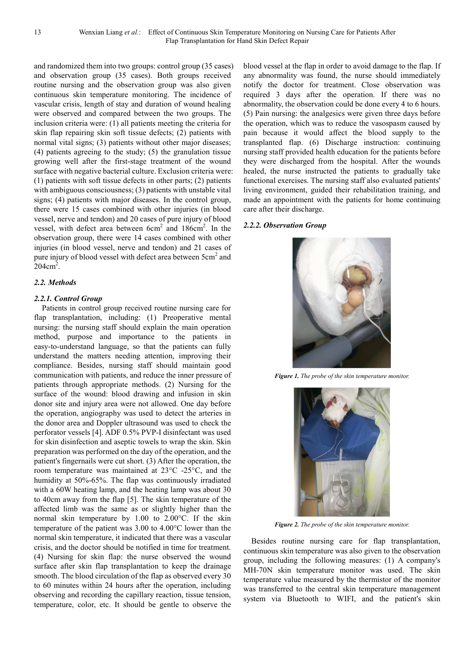and randomized them into two groups: control group (35 cases) and observation group (35 cases). Both groups received routine nursing and the observation group was also given continuous skin temperature monitoring. The incidence of vascular crisis, length of stay and duration of wound healing were observed and compared between the two groups. The inclusion criteria were: (1) all patients meeting the criteria for skin flap repairing skin soft tissue defects; (2) patients with normal vital signs; (3) patients without other major diseases; (4) patients agreeing to the study; (5) the granulation tissue growing well after the first-stage treatment of the wound surface with negative bacterial culture. Exclusion criteria were: (1) patients with soft tissue defects in other parts; (2) patients with ambiguous consciousness; (3) patients with unstable vital signs; (4) patients with major diseases. In the control group, there were 15 cases combined with other injuries (in blood vessel, nerve and tendon) and 20 cases of pure injury of blood vessel, with defect area between 6cm<sup>2</sup> and 186cm<sup>2</sup>. In the observation group, there were 14 cases combined with other injuries (in blood vessel, nerve and tendon) and 21 cases of pure injury of blood vessel with defect area between 5cm<sup>2</sup> and  $204 \text{cm}^2$ .

#### *2.2. Methods*

#### *2.2.1. Control Group*

Patients in control group received routine nursing care for flap transplantation, including: (1) Preoperative mental nursing: the nursing staff should explain the main operation method, purpose and importance to the patients in easy-to-understand language, so that the patients can fully understand the matters needing attention, improving their compliance. Besides, nursing staff should maintain good communication with patients, and reduce the inner pressure of patients through appropriate methods. (2) Nursing for the surface of the wound: blood drawing and infusion in skin donor site and injury area were not allowed. One day before the operation, angiography was used to detect the arteries in the donor area and Doppler ultrasound was used to check the perforator vessels [4]. ADF 0.5% PVP-I disinfectant was used for skin disinfection and aseptic towels to wrap the skin. Skin preparation was performed on the day of the operation, and the patient's fingernails were cut short. (3) After the operation, the room temperature was maintained at 23°C -25°C, and the humidity at 50%-65%. The flap was continuously irradiated with a 60W heating lamp, and the heating lamp was about 30 to 40cm away from the flap [5]. The skin temperature of the affected limb was the same as or slightly higher than the normal skin temperature by 1.00 to 2.00°C. If the skin temperature of the patient was 3.00 to 4.00°C lower than the normal skin temperature, it indicated that there was a vascular crisis, and the doctor should be notified in time for treatment. (4) Nursing for skin flap: the nurse observed the wound surface after skin flap transplantation to keep the drainage smooth. The blood circulation of the flap as observed every 30 to 60 minutes within 24 hours after the operation, including observing and recording the capillary reaction, tissue tension, temperature, color, etc. It should be gentle to observe the

blood vessel at the flap in order to avoid damage to the flap. If any abnormality was found, the nurse should immediately notify the doctor for treatment. Close observation was required 3 days after the operation. If there was no abnormality, the observation could be done every 4 to 6 hours. (5) Pain nursing: the analgesics were given three days before the operation, which was to reduce the vasospasm caused by pain because it would affect the blood supply to the transplanted flap. (6) Discharge instruction: continuing nursing staff provided health education for the patients before they were discharged from the hospital. After the wounds healed, the nurse instructed the patients to gradually take functional exercises. The nursing staff also evaluated patients' living environment, guided their rehabilitation training, and made an appointment with the patients for home continuing care after their discharge.

#### *2.2.2. Observation Group*



*Figure 1. The probe of the skin temperature monitor.* 



*Figure 2. The probe of the skin temperature monitor.* 

Besides routine nursing care for flap transplantation, continuous skin temperature was also given to the observation group, including the following measures: (1) A company's MH-70N skin temperature monitor was used. The skin temperature value measured by the thermistor of the monitor was transferred to the central skin temperature management system via Bluetooth to WIFI, and the patient's skin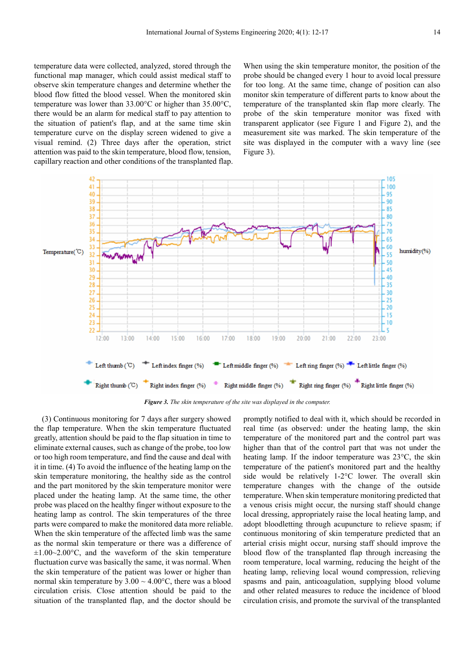temperature data were collected, analyzed, stored through the functional map manager, which could assist medical staff to observe skin temperature changes and determine whether the blood flow fitted the blood vessel. When the monitored skin temperature was lower than 33.00°C or higher than 35.00°C, there would be an alarm for medical staff to pay attention to the situation of patient's flap, and at the same time skin temperature curve on the display screen widened to give a visual remind. (2) Three days after the operation, strict attention was paid to the skin temperature, blood flow, tension, capillary reaction and other conditions of the transplanted flap. When using the skin temperature monitor, the position of the probe should be changed every 1 hour to avoid local pressure for too long. At the same time, change of position can also monitor skin temperature of different parts to know about the temperature of the transplanted skin flap more clearly. The probe of the skin temperature monitor was fixed with transparent applicator (see Figure 1 and Figure 2), and the measurement site was marked. The skin temperature of the site was displayed in the computer with a wavy line (see Figure 3).



*Figure 3. The skin temperature of the site was displayed in the computer.* 

(3) Continuous monitoring for 7 days after surgery showed the flap temperature. When the skin temperature fluctuated greatly, attention should be paid to the flap situation in time to eliminate external causes, such as change of the probe, too low or too high room temperature, and find the cause and deal with it in time. (4) To avoid the influence of the heating lamp on the skin temperature monitoring, the healthy side as the control and the part monitored by the skin temperature monitor were placed under the heating lamp. At the same time, the other probe was placed on the healthy finger without exposure to the heating lamp as control. The skin temperatures of the three parts were compared to make the monitored data more reliable. When the skin temperature of the affected limb was the same as the normal skin temperature or there was a difference of  $\pm 1.00 \sim 2.00$ °C, and the waveform of the skin temperature fluctuation curve was basically the same, it was normal. When the skin temperature of the patient was lower or higher than normal skin temperature by  $3.00 \sim 4.00\degree C$ , there was a blood circulation crisis. Close attention should be paid to the situation of the transplanted flap, and the doctor should be

promptly notified to deal with it, which should be recorded in real time (as observed: under the heating lamp, the skin temperature of the monitored part and the control part was higher than that of the control part that was not under the heating lamp. If the indoor temperature was 23°C, the skin temperature of the patient's monitored part and the healthy side would be relatively 1-2°C lower. The overall skin temperature changes with the change of the outside temperature. When skin temperature monitoring predicted that a venous crisis might occur, the nursing staff should change local dressing, appropriately raise the local heating lamp, and adopt bloodletting through acupuncture to relieve spasm; if continuous monitoring of skin temperature predicted that an arterial crisis might occur, nursing staff should improve the blood flow of the transplanted flap through increasing the room temperature, local warming, reducing the height of the heating lamp, relieving local wound compression, relieving spasms and pain, anticoagulation, supplying blood volume and other related measures to reduce the incidence of blood circulation crisis, and promote the survival of the transplanted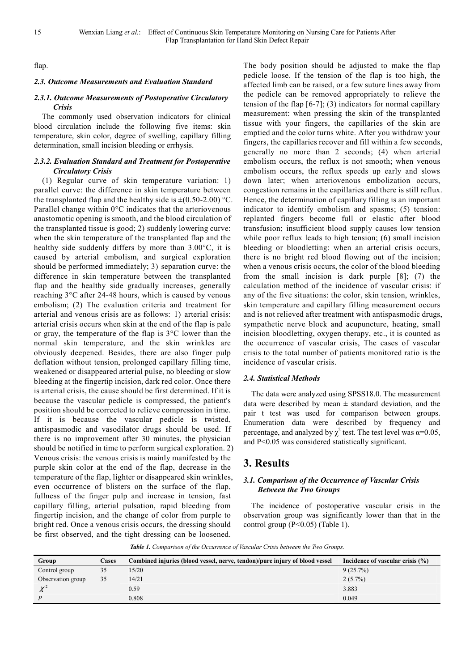flap.

#### *2.3. Outcome Measurements and Evaluation Standard*

#### *2.3.1. Outcome Measurements of Postoperative Circulatory Crisis*

The commonly used observation indicators for clinical blood circulation include the following five items: skin temperature, skin color, degree of swelling, capillary filling determination, small incision bleeding or errhysis.

#### *2.3.2. Evaluation Standard and Treatment for Postoperative Circulatory Crisis*

(1) Regular curve of skin temperature variation: 1) parallel curve: the difference in skin temperature between the transplanted flap and the healthy side is  $\pm (0.50\text{-}2.00)$  °C. Parallel change within 0°C indicates that the arteriovenous anastomotic opening is smooth, and the blood circulation of the transplanted tissue is good; 2) suddenly lowering curve: when the skin temperature of the transplanted flap and the healthy side suddenly differs by more than 3.00°C, it is caused by arterial embolism, and surgical exploration should be performed immediately; 3) separation curve: the difference in skin temperature between the transplanted flap and the healthy side gradually increases, generally reaching 3°C after 24-48 hours, which is caused by venous embolism; (2) The evaluation criteria and treatment for arterial and venous crisis are as follows: 1) arterial crisis: arterial crisis occurs when skin at the end of the flap is pale or gray, the temperature of the flap is 3°C lower than the normal skin temperature, and the skin wrinkles are obviously deepened. Besides, there are also finger pulp deflation without tension, prolonged capillary filling time, weakened or disappeared arterial pulse, no bleeding or slow bleeding at the fingertip incision, dark red color. Once there is arterial crisis, the cause should be first determined. If it is because the vascular pedicle is compressed, the patient's position should be corrected to relieve compression in time. If it is because the vascular pedicle is twisted, antispasmodic and vasodilator drugs should be used. If there is no improvement after 30 minutes, the physician should be notified in time to perform surgical exploration. 2) Venous crisis: the venous crisis is mainly manifested by the purple skin color at the end of the flap, decrease in the temperature of the flap, lighter or disappeared skin wrinkles, even occurrence of blisters on the surface of the flap, fullness of the finger pulp and increase in tension, fast capillary filling, arterial pulsation, rapid bleeding from fingertip incision, and the change of color from purple to bright red. Once a venous crisis occurs, the dressing should be first observed, and the tight dressing can be loosened.

The body position should be adjusted to make the flap pedicle loose. If the tension of the flap is too high, the affected limb can be raised, or a few suture lines away from the pedicle can be removed appropriately to relieve the tension of the flap  $[6-7]$ ; (3) indicators for normal capillary measurement: when pressing the skin of the transplanted tissue with your fingers, the capillaries of the skin are emptied and the color turns white. After you withdraw your fingers, the capillaries recover and fill within a few seconds, generally no more than 2 seconds; (4) when arterial embolism occurs, the reflux is not smooth; when venous embolism occurs, the reflux speeds up early and slows down later; when arteriovenous embolization occurs, congestion remains in the capillaries and there is still reflux. Hence, the determination of capillary filling is an important indicator to identify embolism and spasms; (5) tension: replanted fingers become full or elastic after blood transfusion; insufficient blood supply causes low tension while poor reflux leads to high tension; (6) small incision bleeding or bloodletting: when an arterial crisis occurs, there is no bright red blood flowing out of the incision; when a venous crisis occurs, the color of the blood bleeding from the small incision is dark purple [8]; (7) the calculation method of the incidence of vascular crisis: if any of the five situations: the color, skin tension, wrinkles, skin temperature and capillary filling measurement occurs and is not relieved after treatment with antispasmodic drugs, sympathetic nerve block and acupuncture, heating, small incision bloodletting, oxygen therapy, etc., it is counted as the occurrence of vascular crisis, The cases of vascular crisis to the total number of patients monitored ratio is the incidence of vascular crisis.

#### *2.4. Statistical Methods*

The data were analyzed using SPSS18.0. The measurement data were described by mean  $\pm$  standard deviation, and the pair t test was used for comparison between groups. Enumeration data were described by frequency and percentage, and analyzed by  $\chi^2$  test. The test level was  $\alpha=0.05$ , and P<0.05 was considered statistically significant.

# **3. Results**

#### *3.1. Comparison of the Occurrence of Vascular Crisis Between the Two Groups*

The incidence of postoperative vascular crisis in the observation group was significantly lower than that in the control group (P<0.05) (Table 1).

*Table 1. Comparison of the Occurrence of Vascular Crisis between the Two Groups.* 

| Group             | Cases | Combined injuries (blood vessel, nerve, tendon)/pure injury of blood vessel | Incidence of vascular crisis $(\% )$ |
|-------------------|-------|-----------------------------------------------------------------------------|--------------------------------------|
| Control group     | 35    | 15/20                                                                       | 9(25.7%)                             |
| Observation group | 35    | 14/21                                                                       | $2(5.7\%)$                           |
|                   |       | 0.59                                                                        | 3.883                                |
|                   |       | 0.808                                                                       | 0.049                                |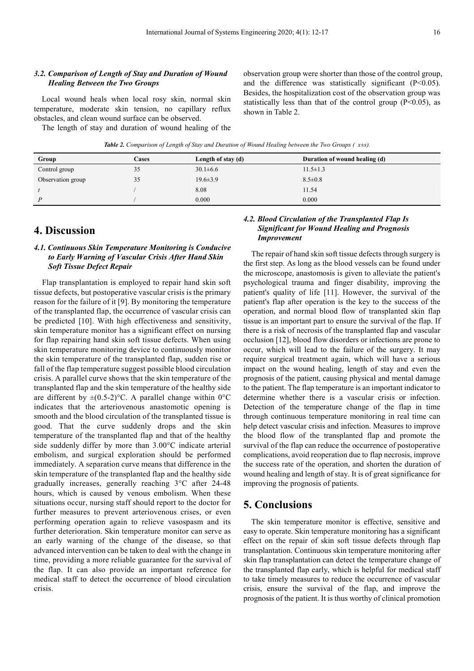#### *3.2. Comparison of Length of Stay and Duration of Wound Healing Between the Two Groups*

Local wound heals when local rosy skin, normal skin temperature, moderate skin tension, no capillary reflux obstacles, and clean wound surface can be observed.

The length of stay and duration of wound healing of the

observation group were shorter than those of the control group, and the difference was statistically significant  $(P<0.05)$ . Besides, the hospitalization cost of the observation group was statistically less than that of the control group  $(P<0.05)$ , as shown in Table 2.

*Table 2. Comparison of Length of Stay and Duration of Wound Healing between the Two Groups (* $\overline{x}$ *±s).* 

| Group             | <b>Cases</b> | Length of stay (d) | Duration of wound healing (d) |
|-------------------|--------------|--------------------|-------------------------------|
| Control group     | 35           | $30.1 \pm 6.6$     | $11.5 \pm 1.3$                |
| Observation group | 35           | $19.6 \pm 3.9$     | $8.5 \pm 0.8$                 |
|                   |              | 8.08               | 11.54                         |
|                   |              | 0.000              | 0.000                         |

### **4. Discussion**

#### *4.1. Continuous Skin Temperature Monitoring is Conducive to Early Warning of Vascular Crisis After Hand Skin Soft Tissue Defect Repair*

Flap transplantation is employed to repair hand skin soft tissue defects, but postoperative vascular crisis is the primary reason for the failure of it [9]. By monitoring the temperature of the transplanted flap, the occurrence of vascular crisis can be predicted [10]. With high effectiveness and sensitivity, skin temperature monitor has a significant effect on nursing for flap repairing hand skin soft tissue defects. When using skin temperature monitoring device to continuously monitor the skin temperature of the transplanted flap, sudden rise or fall of the flap temperature suggest possible blood circulation crisis. A parallel curve shows that the skin temperature of the transplanted flap and the skin temperature of the healthy side are different by  $\pm (0.5{\text -}2)$ °C. A parallel change within 0°C indicates that the arteriovenous anastomotic opening is smooth and the blood circulation of the transplanted tissue is good. That the curve suddenly drops and the skin temperature of the transplanted flap and that of the healthy side suddenly differ by more than 3.00°C indicate arterial embolism, and surgical exploration should be performed immediately. A separation curve means that difference in the skin temperature of the transplanted flap and the healthy side gradually increases, generally reaching 3°C after 24-48 hours, which is caused by venous embolism. When these situations occur, nursing staff should report to the doctor for further measures to prevent arteriovenous crises, or even performing operation again to relieve vasospasm and its further deterioration. Skin temperature monitor can serve as an early warning of the change of the disease, so that advanced intervention can be taken to deal with the change in time, providing a more reliable guarantee for the survival of the flap. It can also provide an important reference for medical staff to detect the occurrence of blood circulation crisis.

#### *4.2. Blood Circulation of the Transplanted Flap Is Significant for Wound Healing and Prognosis Improvement*

The repair of hand skin soft tissue defects through surgery is the first step. As long as the blood vessels can be found under the microscope, anastomosis is given to alleviate the patient's psychological trauma and finger disability, improving the patient's quality of life [11]. However, the survival of the patient's flap after operation is the key to the success of the operation, and normal blood flow of transplanted skin flap tissue is an important part to ensure the survival of the flap. If there is a risk of necrosis of the transplanted flap and vascular occlusion [12], blood flow disorders or infections are prone to occur, which will lead to the failure of the surgery. It may require surgical treatment again, which will have a serious impact on the wound healing, length of stay and even the prognosis of the patient, causing physical and mental damage to the patient. The flap temperature is an important indicator to determine whether there is a vascular crisis or infection. Detection of the temperature change of the flap in time through continuous temperature monitoring in real time can help detect vascular crisis and infection. Measures to improve the blood flow of the transplanted flap and promote the survival of the flap can reduce the occurrence of postoperative complications, avoid reoperation due to flap necrosis, improve the success rate of the operation, and shorten the duration of wound healing and length of stay. It is of great significance for improving the prognosis of patients.

# **5. Conclusions**

The skin temperature monitor is effective, sensitive and easy to operate. Skin temperature monitoring has a significant effect on the repair of skin soft tissue defects through flap transplantation. Continuous skin temperature monitoring after skin flap transplantation can detect the temperature change of the transplanted flap early, which is helpful for medical staff to take timely measures to reduce the occurrence of vascular crisis, ensure the survival of the flap, and improve the prognosis of the patient. It is thus worthy of clinical promotion